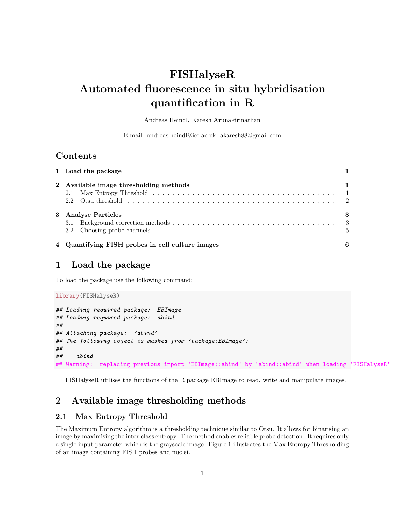# FISHalyseR Automated fluorescence in situ hybridisation quantification in R

Andreas Heindl, Karesh Arunakirinathan

E-mail: andreas.heindl@icr.ac.uk, akaresh88@gmail.com

## **Contents**

| 1 Load the package                               |   |
|--------------------------------------------------|---|
| 2 Available image thresholding methods           |   |
| 3 Analyse Particles                              | 3 |
| 4 Quantifying FISH probes in cell culture images | 6 |

## 1 Load the package

To load the package use the following command:

```
library(FISHalyseR)
## Loading required package: EBImage
## Loading required package: abind
##
## Attaching package: 'abind'
## The following object is masked from 'package:EBImage':
##
## abind
## Warning: replacing previous import 'EBImage::abind' by 'abind::abind' when loading 'FISHalyseR'
```
FISHalyseR utilises the functions of the R package EBImage to read, write and manipulate images.

## 2 Available image thresholding methods

#### 2.1 Max Entropy Threshold

The Maximum Entropy algorithm is a thresholding technique similar to Otsu. It allows for binarising an image by maximising the inter-class entropy. The method enables reliable probe detection. It requires only a single input parameter which is the grayscale image. Figure 1 illustrates the Max Entropy Thresholding of an image containing FISH probes and nuclei.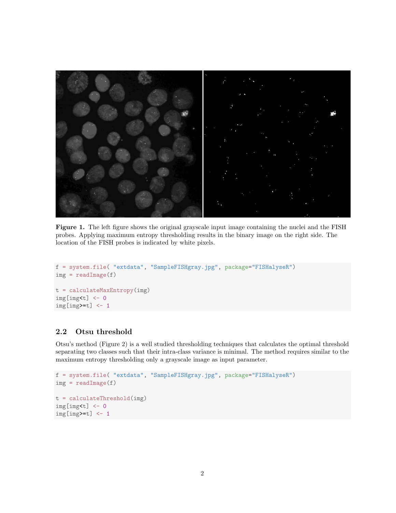

Figure 1. The left figure shows the original grayscale input image containing the nuclei and the FISH probes. Applying maximum entropy thresholding results in the binary image on the right side. The location of the FISH probes is indicated by white pixels.

```
f = system.file( "extdata", "SampleFISHgray.jpg", package="FISHalyseR")
img = readImage(f)t = calculateMaxEntropy(img)
img[img< t] < -0img[img>=t] < -1
```
#### 2.2 Otsu threshold

Otsu's method (Figure 2) is a well studied thresholding techniques that calculates the optimal threshold separating two classes such that their intra-class variance is minimal. The method requires similar to the maximum entropy thresholding only a grayscale image as input parameter.

```
f = system.file( "extdata", "SampleFISHgray.jpg", package="FISHalyseR")
img = readImage(f)t = calculateThreshold(img)
img[img<t] <- 0
img[img>=t] < -1
```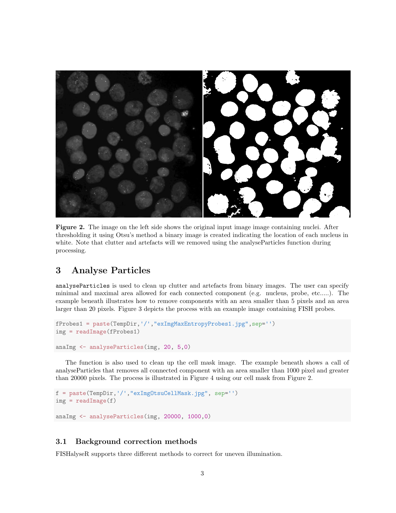

Figure 2. The image on the left side shows the original input image image containing nuclei. After thresholding it using Otsu's method a binary image is created indicating the location of each nucleus in white. Note that clutter and artefacts will we removed using the analyseParticles function during processing.

# 3 Analyse Particles

analyseParticles is used to clean up clutter and artefacts from binary images. The user can specify minimal and maximal area allowed for each connected component (e.g. nucleus, probe, etc.....). The example beneath illustrates how to remove components with an area smaller than 5 pixels and an area larger than 20 pixels. Figure 3 depicts the process with an example image containing FISH probes.

```
fProbes1 = paste(TempDir,'/',"exImgMaxEntropyProbes1.jpg",sep='')
img = readImage(fProbes1)
```

```
anaImg <- analyseParticles(img, 20, 5,0)
```
The function is also used to clean up the cell mask image. The example beneath shows a call of analyseParticles that removes all connected component with an area smaller than 1000 pixel and greater than 20000 pixels. The process is illustrated in Figure 4 using our cell mask from Figure 2.

```
f = paste(TempDir,'/',"exImgOtsuCellMask.jpg", sep='')
img = readImage(f)anaImg <- analyseParticles(img, 20000, 1000,0)
```
#### 3.1 Background correction methods

FISHalyseR supports three different methods to correct for uneven illumination.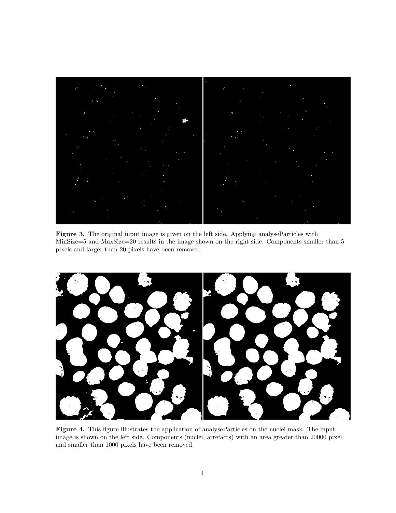

Figure 3. The original input image is given on the left side. Applying analyseParticles with MinSize=5 and MaxSize=20 results in the image shown on the right side. Components smaller than 5 pixels and larger than 20 pixels have been removed.



Figure 4. This figure illustrates the application of analyseParticles on the nuclei mask. The input image is shown on the left side. Components (nuclei, artefacts) with an area greater than 20000 pixel and smaller than 1000 pixels have been removed.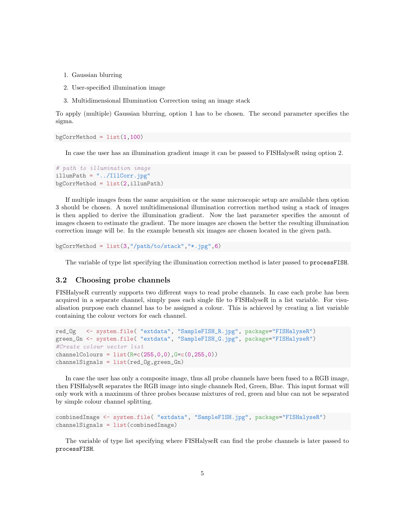- 1. Gaussian blurring
- 2. User-specified illumination image
- 3. Multidimensional Illumination Correction using an image stack

To apply (multiple) Gaussian blurring, option 1 has to be chosen. The second parameter specifies the sigma.

 $bgCorrMethod = list(1,100)$ 

In case the user has an illumination gradient image it can be passed to FISHalyseR using option 2.

```
# path to illumination image
illumPath = "../IllCorr.jpg"
bgCorrMethod = list(2, i11umPath)
```
If multiple images from the same acquisition or the same microscopic setup are available then option 3 should be chosen. A novel multidimensional illumination correction method using a stack of images is then applied to derive the illumination gradient. Now the last parameter specifies the amount of images chosen to estimate the gradient. The more images are chosen the better the resulting illumination correction image will be. In the example beneath six images are chosen located in the given path.

bgCorrMethod =  $list(3,"/path/to/stack", **.jpg", 6)$ 

The variable of type list specifying the illumination correction method is later passed to processFISH.

#### 3.2 Choosing probe channels

FISHalyseR currently supports two different ways to read probe channels. In case each probe has been acquired in a separate channel, simply pass each single file to FISHalyseR in a list variable. For visualisation purpose each channel has to be assigned a colour. This is achieved by creating a list variable containing the colour vectors for each channel.

```
red_Og <- system.file( "extdata", "SampleFISH_R.jpg", package="FISHalyseR")
green_Gn <- system.file( "extdata", "SampleFISH_G.jpg", package="FISHalyseR")
#Create colour vector list
channelColours = list(R=c(255,0,0),G=c(0,255,0))channelSignals = list(red_Og,green_Gn)
```
In case the user has only a composite image, thus all probe channels have been fused to a RGB image, then FISHalyseR separates the RGB image into single channels Red, Green, Blue. This input format will only work with a maximum of three probes because mixtures of red, green and blue can not be separated by simple colour channel splitting.

```
combinedImage <- system.file( "extdata", "SampleFISH.jpg", package="FISHalyseR")
channelSignals = list(combinedImage)
```
The variable of type list specifying where FISHalyseR can find the probe channels is later passed to processFISH.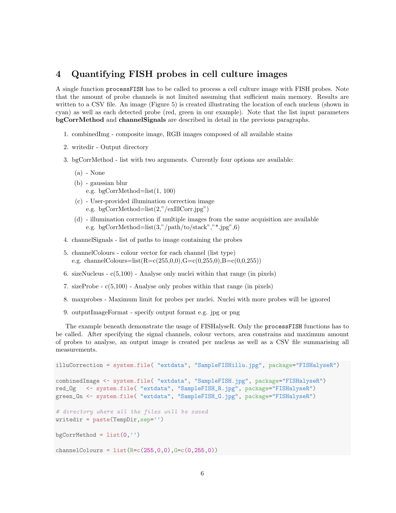## 4 Quantifying FISH probes in cell culture images

A single function processFISH has to be called to process a cell culture image with FISH probes. Note that the amount of probe channels is not limited assuming that sufficient main memory. Results are written to a CSV file. An image (Figure 5) is created illustrating the location of each nucleus (shown in cyan) as well as each detected probe (red, green in our example). Note that the list input parameters bgCorrMethod and channelSignals are described in detail in the previous paragraphs.

- 1. combinedImg composite image, RGB images composed of all available stains
- 2. writedir Output directory
- 3. bgCorrMethod list with two arguments. Currently four options are available:
	- (a) None
	- (b) gaussian blur e.g. bgCorrMethod=list(1, 100)
	- (c) User-provided illumination correction image e.g. bgCorrMethod=list(2,"/exIllCorr.jpg")
	- (d) illumination correction if multiple images from the same acquisition are available e.g. bgCorrMethod=list $(3,'/path/to/stack", "+.jpg", 6)$
- 4. channelSignals list of paths to image containing the probes
- 5. channelColours colour vector for each channel (list type) e.g. channelColours=list(R=c(255,0,0),G=c(0,255,0),B=c(0,0,255))
- 6. sizeNucleus c(5,100) Analyse only nuclei within that range (in pixels)
- 7. sizeProbe c(5,100) Analyse only probes within that range (in pixels)
- 8. maxprobes Maximum limit for probes per nuclei. Nuclei with more probes will be ignored
- 9. outputImageFormat specify output format e.g. jpg or png

The example beneath demonstrate the usage of FISHalyseR. Only the processFISH functions has to be called. After specifying the signal channels, colour vectors, area constrains and maximum amount of probes to analyse, an output image is created per nucleus as well as a CSV file summarising all measurements.

```
illuCorrection = system.file( "extdata", "SampleFISHillu.jpg", package="FISHalyseR")
combinedImage <- system.file( "extdata", "SampleFISH.jpg", package="FISHalyseR")
red_Og <- system.file( "extdata", "SampleFISH_R.jpg", package="FISHalyseR")
green_Gn <- system.file( "extdata", "SampleFISH_G.jpg", package="FISHalyseR")
# directory where all the files will be saved
writedir = paste(TempDir,sep='')
bgCorrMethod = list(0, '')channelColours = list(Rec(255, 0, 0), G=c(0, 255, 0))
```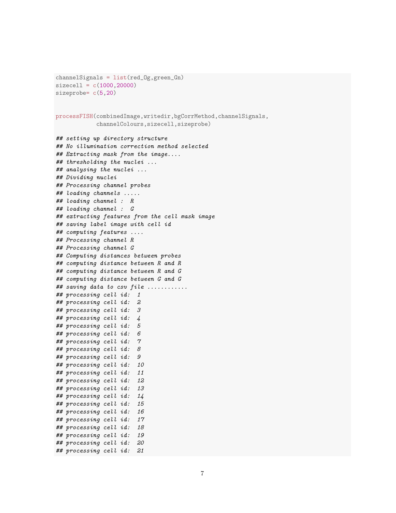```
channelSignals = list(red_Og,green_Gn)
sizecell = c(1000, 20000)sizeprobe= c(5,20)
processFISH(combinedImage,writedir,bgCorrMethod,channelSignals,
            channelColours,sizecell,sizeprobe)
## setting up directory structure
## No illumination correction method selected
## Extracting mask from the image....
## thresholding the nuclei ...
## analysing the nuclei ...
## Dividing nuclei
## Processing channel probes
## loading channels .....
## loading channel : R
## loading channel : G
## extracting features from the cell mask image
## saving label image with cell id
## computing features ....
## Processing channel R
## Processing channel G
## Computing distances between probes
## computing distance between R and R
## computing distance between R and G
## computing distance between G and G
## saving data to csv file ............
## processing cell id: 1
## processing cell id: 2
## processing cell id: 3
## processing cell id: 4
## processing cell id: 5
## processing cell id: 6
## processing cell id: 7
## processing cell id: 8
## processing cell id: 9
## processing cell id: 10
## processing cell id: 11
## processing cell id: 12
## processing cell id: 13
## processing cell id: 14
## processing cell id: 15
## processing cell id: 16
## processing cell id: 17
## processing cell id: 18
## processing cell id: 19
## processing cell id: 20
## processing cell id: 21
```

```
7
```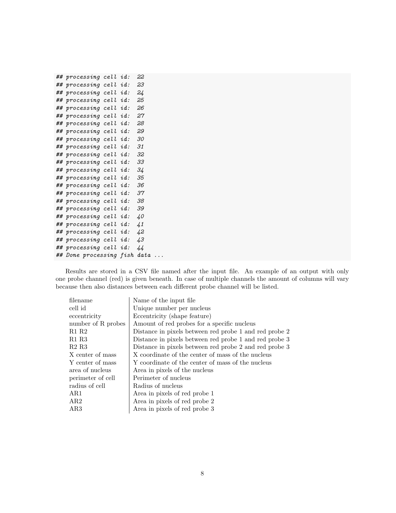```
## processing cell id: 22
## processing cell id: 23
## processing cell id: 24
## processing cell id: 25
## processing cell id: 26
## processing cell id: 27
## processing cell id: 28
## processing cell id: 29
## processing cell id: 30
## processing cell id: 31
## processing cell id: 32
## processing cell id: 33
## processing cell id: 34
## processing cell id: 35
## processing cell id: 36
## processing cell id: 37
## processing cell id: 38
## processing cell id: 39
## processing cell id: 40
## processing cell id: 41
## processing cell id: 42
## processing cell id: 43
## processing cell id: 44
## Done processing fish data ...
```
Results are stored in a CSV file named after the input file. An example of an output with only one probe channel (red) is given beneath. In case of multiple channels the amount of columns will vary because then also distances between each different probe channel will be listed.

| filename                      | Name of the input file                                 |
|-------------------------------|--------------------------------------------------------|
| cell id                       | Unique number per nucleus                              |
| eccentricity                  | Eccentricity (shape feature)                           |
| number of R probes            | Amount of red probes for a specific nucleus            |
| R1 R2                         | Distance in pixels between red probe 1 and red probe 2 |
| R <sub>1</sub> R <sub>3</sub> | Distance in pixels between red probe 1 and red probe 3 |
| R2 R3                         | Distance in pixels between red probe 2 and red probe 3 |
| X center of mass              | X coordinate of the center of mass of the nucleus      |
| Y center of mass              | Y coordinate of the center of mass of the nucleus      |
| area of nucleus               | Area in pixels of the nucleus                          |
| perimeter of cell             | Perimeter of nucleus                                   |
| radius of cell                | Radius of nucleus                                      |
| AR1                           | Area in pixels of red probe 1                          |
| AR2                           | Area in pixels of red probe 2                          |
| AR3                           | Area in pixels of red probe 3                          |
|                               |                                                        |